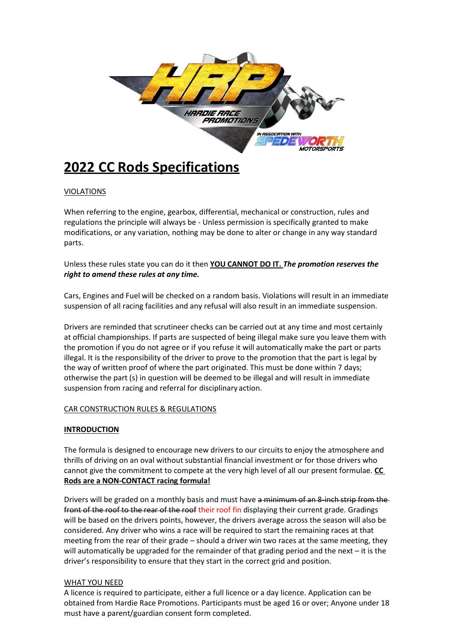

# **2022 CC Rods Specifications**

### VIOLATIONS

When referring to the engine, gearbox, differential, mechanical or construction, rules and regulations the principle will always be - Unless permission is specifically granted to make modifications, or any variation, nothing may be done to alter or change in any way standard parts.

Unless these rules state you can do it then **YOU CANNOT DO IT.** *The promotion reserves the right to amend these rules at any time.*

Cars, Engines and Fuel will be checked on a random basis. Violations will result in an immediate suspension of all racing facilities and any refusal will also result in an immediate suspension.

Drivers are reminded that scrutineer checks can be carried out at any time and most certainly at official championships. If parts are suspected of being illegal make sure you leave them with the promotion if you do not agree or if you refuse it will automatically make the part or parts illegal. It is the responsibility of the driver to prove to the promotion that the part is legal by the way of written proof of where the part originated. This must be done within 7 days; otherwise the part (s) in question will be deemed to be illegal and will result in immediate suspension from racing and referral for disciplinary action.

#### CAR CONSTRUCTION RULES & REGULATIONS

#### **INTRODUCTION**

The formula is designed to encourage new drivers to our circuits to enjoy the atmosphere and thrills of driving on an oval without substantial financial investment or for those drivers who cannot give the commitment to compete at the very high level of all our present formulae. **CC Rods are a NON-CONTACT racing formula!**

Drivers will be graded on a monthly basis and must have a minimum of an 8-inch strip from the front of the roof to the rear of the roof their roof fin displaying their current grade. Gradings will be based on the drivers points, however, the drivers average across the season will also be considered. Any driver who wins a race will be required to start the remaining races at that meeting from the rear of their grade – should a driver win two races at the same meeting, they will automatically be upgraded for the remainder of that grading period and the next – it is the driver's responsibility to ensure that they start in the correct grid and position.

#### WHAT YOU NEED

A licence is required to participate, either a full licence or a day licence. Application can be obtained from Hardie Race Promotions. Participants must be aged 16 or over; Anyone under 18 must have a parent/guardian consent form completed.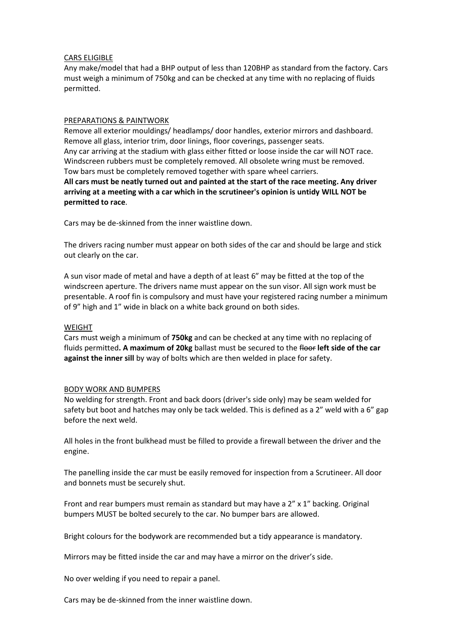#### CARS ELIGIBLE

Any make/model that had a BHP output of less than 120BHP as standard from the factory. Cars must weigh a minimum of 750kg and can be checked at any time with no replacing of fluids permitted.

#### PREPARATIONS & PAINTWORK

Remove all exterior mouldings/ headlamps/ door handles, exterior mirrors and dashboard. Remove all glass, interior trim, door linings, floor coverings, passenger seats. Any car arriving at the stadium with glass either fitted or loose inside the car will NOT race. Windscreen rubbers must be completely removed. All obsolete wring must be removed. Tow bars must be completely removed together with spare wheel carriers. **All cars must be neatly turned out and painted at the start of the race meeting. Any driver arriving at a meeting with a car which in the scrutineer's opinion is untidy WILL NOT be permitted to race**.

Cars may be de-skinned from the inner waistline down.

The drivers racing number must appear on both sides of the car and should be large and stick out clearly on the car.

A sun visor made of metal and have a depth of at least 6" may be fitted at the top of the windscreen aperture. The drivers name must appear on the sun visor. All sign work must be presentable. A roof fin is compulsory and must have your registered racing number a minimum of 9" high and 1" wide in black on a white back ground on both sides.

#### WEIGHT

Cars must weigh a minimum of **750kg** and can be checked at any time with no replacing of fluids permitted**. A maximum of 20kg** ballast must be secured to the floor **left side of the car against the inner sill** by way of bolts which are then welded in place for safety.

#### BODY WORK AND BUMPERS

No welding for strength. Front and back doors (driver's side only) may be seam welded for safety but boot and hatches may only be tack welded. This is defined as a 2" weld with a 6" gap before the next weld.

All holes in the front bulkhead must be filled to provide a firewall between the driver and the engine.

The panelling inside the car must be easily removed for inspection from a Scrutineer. All door and bonnets must be securely shut.

Front and rear bumpers must remain as standard but may have a  $2'' \times 1''$  backing. Original bumpers MUST be bolted securely to the car. No bumper bars are allowed.

Bright colours for the bodywork are recommended but a tidy appearance is mandatory.

Mirrors may be fitted inside the car and may have a mirror on the driver's side.

No over welding if you need to repair a panel.

Cars may be de-skinned from the inner waistline down.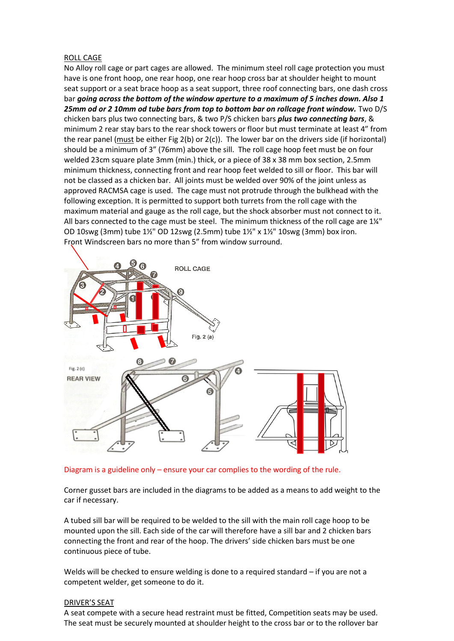#### ROLL CAGE

No Alloy roll cage or part cages are allowed. The minimum steel roll cage protection you must have is one front hoop, one rear hoop, one rear hoop cross bar at shoulder height to mount seat support or a seat brace hoop as a seat support, three roof connecting bars, one dash cross bar *going across the bottom of the window aperture to a maximum of 5 inches down. Also 1 25mm od or 2 10mm od tube bars from top to bottom bar on rollcage front window.* Two D/S chicken bars plus two connecting bars, & two P/S chicken bars *plus two connecting bars*, & minimum 2 rear stay bars to the rear shock towers or floor but must terminate at least 4" from the rear panel (must be either Fig  $2(b)$  or  $2(c)$ ). The lower bar on the drivers side (if horizontal) should be a minimum of 3" (76mm) above the sill. The roll cage hoop feet must be on four welded 23cm square plate 3mm (min.) thick, or a piece of 38 x 38 mm box section, 2.5mm minimum thickness, connecting front and rear hoop feet welded to sill or floor. This bar will not be classed as a chicken bar. All joints must be welded over 90% of the joint unless as approved RACMSA cage is used. The cage must not protrude through the bulkhead with the following exception. It is permitted to support both turrets from the roll cage with the maximum material and gauge as the roll cage, but the shock absorber must not connect to it. All bars connected to the cage must be steel. The minimum thickness of the roll cage are 1¼" OD 10swg (3mm) tube 1½" OD 12swg (2.5mm) tube 1½" x 1½" 10swg (3mm) box iron. Front Windscreen bars no more than 5" from window surround.



Diagram is a guideline only – ensure your car complies to the wording of the rule.

Corner gusset bars are included in the diagrams to be added as a means to add weight to the car if necessary.

A tubed sill bar will be required to be welded to the sill with the main roll cage hoop to be mounted upon the sill. Each side of the car will therefore have a sill bar and 2 chicken bars connecting the front and rear of the hoop. The drivers' side chicken bars must be one continuous piece of tube.

Welds will be checked to ensure welding is done to a required standard – if you are not a competent welder, get someone to do it.

#### DRIVER'S SEAT

A seat compete with a secure head restraint must be fitted, Competition seats may be used. The seat must be securely mounted at shoulder height to the cross bar or to the rollover bar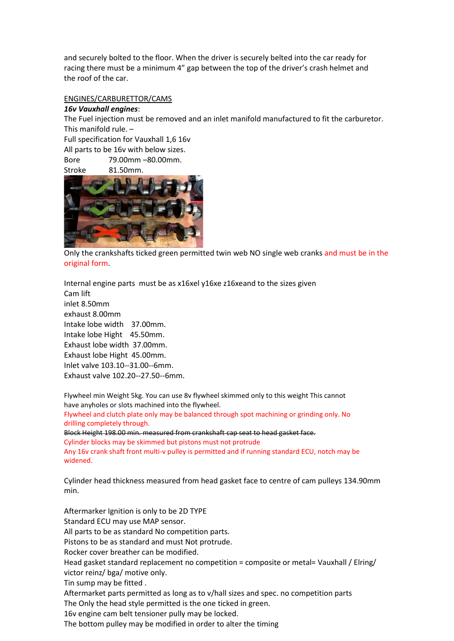and securely bolted to the floor. When the driver is securely belted into the car ready for racing there must be a minimum 4" gap between the top of the driver's crash helmet and the roof of the car.

#### ENGINES/CARBURETTOR/CAMS

#### *16v Vauxhall engines*:

The Fuel injection must be removed and an inlet manifold manufactured to fit the carburetor. This manifold rule. –

Full specification for Vauxhall 1,6 16v

All parts to be 16v with below sizes.

Bore 79.00mm –80.00mm.

Stroke 81.50mm.



Only the crankshafts ticked green permitted twin web NO single web cranks and must be in the original form.

Internal engine parts must be as x16xel y16xe z16xeand to the sizes given Cam lift inlet 8.50mm exhaust 8.00mm Intake lobe width 37.00mm. Intake lobe Hight 45.50mm. Exhaust lobe width 37.00mm. Exhaust lobe Hight 45.00mm. Inlet valve 103.10--31.00--6mm. Exhaust valve 102.20--27.50--6mm.

Flywheel min Weight 5kg. You can use 8v flywheel skimmed only to this weight This cannot have anyholes or slots machined into the flywheel. Flywheel and clutch plate only may be balanced through spot machining or grinding only. No

drilling completely through.

Block Height 198.00 min. measured from crankshaft cap seat to head gasket face. Cylinder blocks may be skimmed but pistons must not protrude Any 16v crank shaft front multi-v pulley is permitted and if running standard ECU, notch may be widened.

Cylinder head thickness measured from head gasket face to centre of cam pulleys 134.90mm min.

Aftermarker Ignition is only to be 2D TYPE Standard ECU may use MAP sensor. All parts to be as standard No competition parts. Pistons to be as standard and must Not protrude. Rocker cover breather can be modified. Head gasket standard replacement no competition = composite or metal= Vauxhall / Elring/ victor reinz/ bga/ motive only. Tin sump may be fitted . Aftermarket parts permitted as long as to v/hall sizes and spec. no competition parts The Only the head style permitted is the one ticked in green.

16v engine cam belt tensioner pully may be locked.

The bottom pulley may be modified in order to alter the timing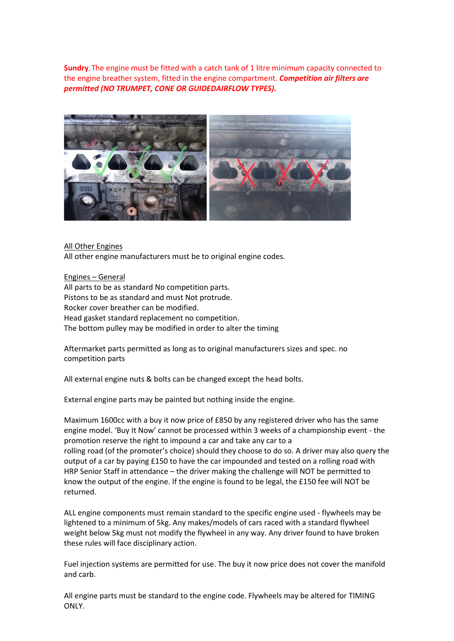**Sundry**.The engine must be fitted with a catch tank of 1 litre minimum capacity connected to the engine breather system, fitted in the engine compartment. *Competition air filters are permitted (NO TRUMPET, CONE OR GUIDEDAIRFLOW TYPES).*



All Other Engines

All other engine manufacturers must be to original engine codes.

Engines – General All parts to be as standard No competition parts. Pistons to be as standard and must Not protrude. Rocker cover breather can be modified. Head gasket standard replacement no competition. The bottom pulley may be modified in order to alter the timing

Aftermarket parts permitted as long as to original manufacturers sizes and spec. no competition parts

All external engine nuts & bolts can be changed except the head bolts.

External engine parts may be painted but nothing inside the engine.

Maximum 1600cc with a buy it now price of £850 by any registered driver who has the same engine model. 'Buy It Now' cannot be processed within 3 weeks of a championship event - the promotion reserve the right to impound a car and take any car to a rolling road (of the promoter's choice) should they choose to do so. A driver may also query the output of a car by paying £150 to have the car impounded and tested on a rolling road with HRP Senior Staff in attendance – the driver making the challenge will NOT be permitted to know the output of the engine. If the engine is found to be legal, the £150 fee will NOT be returned.

ALL engine components must remain standard to the specific engine used - flywheels may be lightened to a minimum of 5kg. Any makes/models of cars raced with a standard flywheel weight below 5kg must not modify the flywheel in any way. Any driver found to have broken these rules will face disciplinary action.

Fuel injection systems are permitted for use. The buy it now price does not cover the manifold and carb.

All engine parts must be standard to the engine code. Flywheels may be altered for TIMING ONLY.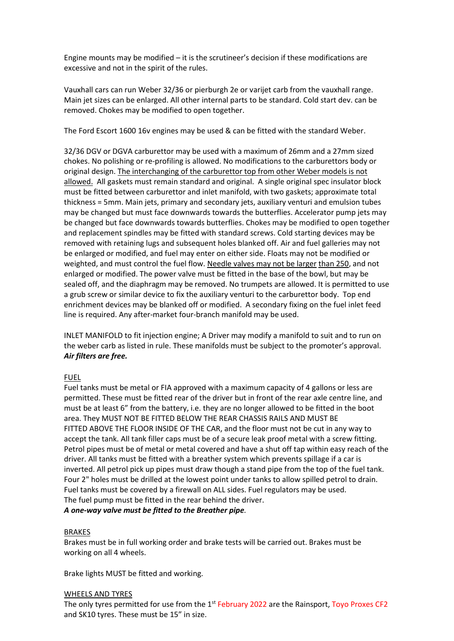Engine mounts may be modified – it is the scrutineer's decision if these modifications are excessive and not in the spirit of the rules.

Vauxhall cars can run Weber 32/36 or pierburgh 2e or varijet carb from the vauxhall range. Main jet sizes can be enlarged. All other internal parts to be standard. Cold start dev. can be removed. Chokes may be modified to open together.

The Ford Escort 1600 16v engines may be used & can be fitted with the standard Weber.

32/36 DGV or DGVA carburettor may be used with a maximum of 26mm and a 27mm sized chokes. No polishing or re-profiling is allowed. No modifications to the carburettors body or original design. The interchanging of the carburettor top from other Weber models is not allowed. All gaskets must remain standard and original. A single original spec insulator block must be fitted between carburettor and inlet manifold, with two gaskets; approximate total thickness = 5mm. Main jets, primary and secondary jets, auxiliary venturi and emulsion tubes may be changed but must face downwards towards the butterflies. Accelerator pump jets may be changed but face downwards towards butterflies. Chokes may be modified to open together and replacement spindles may be fitted with standard screws. Cold starting devices may be removed with retaining lugs and subsequent holes blanked off. Air and fuel galleries may not be enlarged or modified, and fuel may enter on either side. Floats may not be modified or weighted, and must control the fuel flow. Needle valves may not be larger than 250, and not enlarged or modified. The power valve must be fitted in the base of the bowl, but may be sealed off, and the diaphragm may be removed. No trumpets are allowed. It is permitted to use a grub screw or similar device to fix the auxiliary venturi to the carburettor body. Top end enrichment devices may be blanked off or modified. A secondary fixing on the fuel inlet feed line is required. Any after-market four-branch manifold may be used.

INLET MANIFOLD to fit injection engine; A Driver may modify a manifold to suit and to run on the weber carb as listed in rule. These manifolds must be subject to the promoter's approval. *Air filters are free.*

#### FUEL

Fuel tanks must be metal or FIA approved with a maximum capacity of 4 gallons or less are permitted. These must be fitted rear of the driver but in front of the rear axle centre line, and must be at least 6" from the battery, i.e. they are no longer allowed to be fitted in the boot area. They MUST NOT BE FITTED BELOW THE REAR CHASSIS RAILS AND MUST BE FITTED ABOVE THE FLOOR INSIDE OF THE CAR, and the floor must not be cut in any way to accept the tank. All tank filler caps must be of a secure leak proof metal with a screw fitting. Petrol pipes must be of metal or metal covered and have a shut off tap within easy reach of the driver. All tanks must be fitted with a breather system which prevents spillage if a car is inverted. All petrol pick up pipes must draw though a stand pipe from the top of the fuel tank. Four 2" holes must be drilled at the lowest point under tanks to allow spilled petrol to drain. Fuel tanks must be covered by a firewall on ALL sides. Fuel regulators may be used. The fuel pump must be fitted in the rear behind the driver.

*A one-way valve must be fitted to the Breather pipe.*

#### BRAKES

Brakes must be in full working order and brake tests will be carried out. Brakes must be working on all 4 wheels.

Brake lights MUST be fitted and working.

#### WHEELS AND TYRES

The only tyres permitted for use from the  $1<sup>st</sup>$  February 2022 are the Rainsport, Toyo Proxes CF2 and SK10 tyres. These must be 15" in size.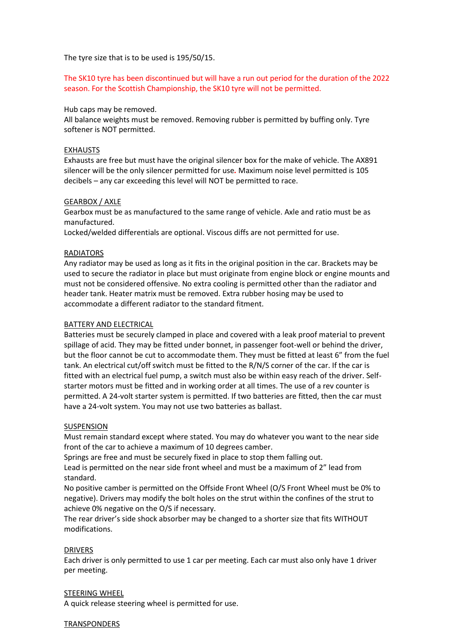The tyre size that is to be used is 195/50/15.

The SK10 tyre has been discontinued but will have a run out period for the duration of the 2022 season. For the Scottish Championship, the SK10 tyre will not be permitted.

#### Hub caps may be removed.

All balance weights must be removed. Removing rubber is permitted by buffing only. Tyre softener is NOT permitted.

#### EXHAUSTS

Exhausts are free but must have the original silencer box for the make of vehicle. The AX891 silencer will be the only silencer permitted for use*.* Maximum noise level permitted is 105 decibels – any car exceeding this level will NOT be permitted to race.

#### GEARBOX / AXLE

Gearbox must be as manufactured to the same range of vehicle. Axle and ratio must be as manufactured.

Locked/welded differentials are optional. Viscous diffs are not permitted for use.

#### **RADIATORS**

Any radiator may be used as long as it fits in the original position in the car. Brackets may be used to secure the radiator in place but must originate from engine block or engine mounts and must not be considered offensive. No extra cooling is permitted other than the radiator and header tank. Heater matrix must be removed. Extra rubber hosing may be used to accommodate a different radiator to the standard fitment.

#### BATTERY AND ELECTRICAL

Batteries must be securely clamped in place and covered with a leak proof material to prevent spillage of acid. They may be fitted under bonnet, in passenger foot-well or behind the driver, but the floor cannot be cut to accommodate them. They must be fitted at least 6" from the fuel tank. An electrical cut/off switch must be fitted to the R/N/S corner of the car. If the car is fitted with an electrical fuel pump, a switch must also be within easy reach of the driver. Selfstarter motors must be fitted and in working order at all times. The use of a rev counter is permitted. A 24-volt starter system is permitted. If two batteries are fitted, then the car must have a 24-volt system. You may not use two batteries as ballast.

#### SUSPENSION

Must remain standard except where stated. You may do whatever you want to the near side front of the car to achieve a maximum of 10 degrees camber.

Springs are free and must be securely fixed in place to stop them falling out.

Lead is permitted on the near side front wheel and must be a maximum of 2" lead from standard.

No positive camber is permitted on the Offside Front Wheel (O/S Front Wheel must be 0% to negative). Drivers may modify the bolt holes on the strut within the confines of the strut to achieve 0% negative on the O/S if necessary.

The rear driver's side shock absorber may be changed to a shorter size that fits WITHOUT modifications.

#### DRIVERS

Each driver is only permitted to use 1 car per meeting. Each car must also only have 1 driver per meeting.

#### STEERING WHEEL

A quick release steering wheel is permitted for use.

#### **TRANSPONDERS**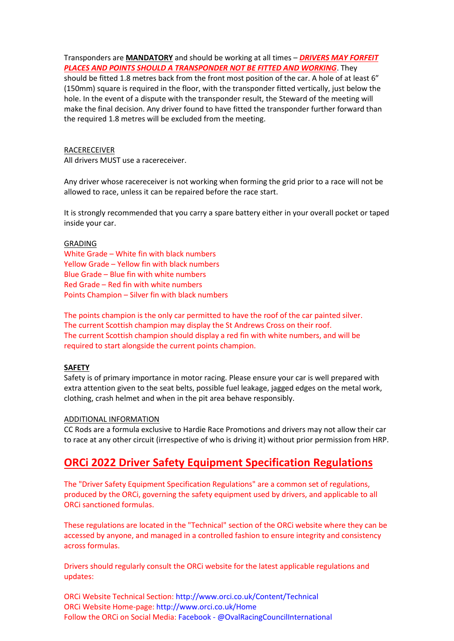Transponders are **MANDATORY** and should be working at all times – *DRIVERS MAY FORFEIT PLACES AND POINTS SHOULD A TRANSPONDER NOT BE FITTED AND WORKING*. They

should be fitted 1.8 metres back from the front most position of the car. A hole of at least 6" (150mm) square is required in the floor, with the transponder fitted vertically, just below the hole. In the event of a dispute with the transponder result, the Steward of the meeting will make the final decision. Any driver found to have fitted the transponder further forward than the required 1.8 metres will be excluded from the meeting.

#### RACERECEIVER

All drivers MUST use a racereceiver.

Any driver whose racereceiver is not working when forming the grid prior to a race will not be allowed to race, unless it can be repaired before the race start.

It is strongly recommended that you carry a spare battery either in your overall pocket or taped inside your car.

#### GRADING

White Grade – White fin with black numbers Yellow Grade – Yellow fin with black numbers Blue Grade – Blue fin with white numbers Red Grade – Red fin with white numbers Points Champion – Silver fin with black numbers

The points champion is the only car permitted to have the roof of the car painted silver. The current Scottish champion may display the St Andrews Cross on their roof. The current Scottish champion should display a red fin with white numbers, and will be required to start alongside the current points champion.

#### **SAFETY**

Safety is of primary importance in motor racing. Please ensure your car is well prepared with extra attention given to the seat belts, possible fuel leakage, jagged edges on the metal work, clothing, crash helmet and when in the pit area behave responsibly.

#### ADDITIONAL INFORMATION

CC Rods are a formula exclusive to Hardie Race Promotions and drivers may not allow their car to race at any other circuit (irrespective of who is driving it) without prior permission from HRP.

## **ORCi 2022 Driver Safety Equipment Specification Regulations**

The "Driver Safety Equipment Specification Regulations" are a common set of regulations, produced by the ORCi, governing the safety equipment used by drivers, and applicable to all ORCi sanctioned formulas.

These regulations are located in the "Technical" section of the ORCi website where they can be accessed by anyone, and managed in a controlled fashion to ensure integrity and consistency across formulas.

Drivers should regularly consult the ORCi website for the latest applicable regulations and updates:

ORCi Website Technical Section: http://www.orci.co.uk/Content/Technical ORCi Website Home-page: http://www.orci.co.uk/Home Follow the ORCi on Social Media: Facebook - @OvalRacingCouncilInternational